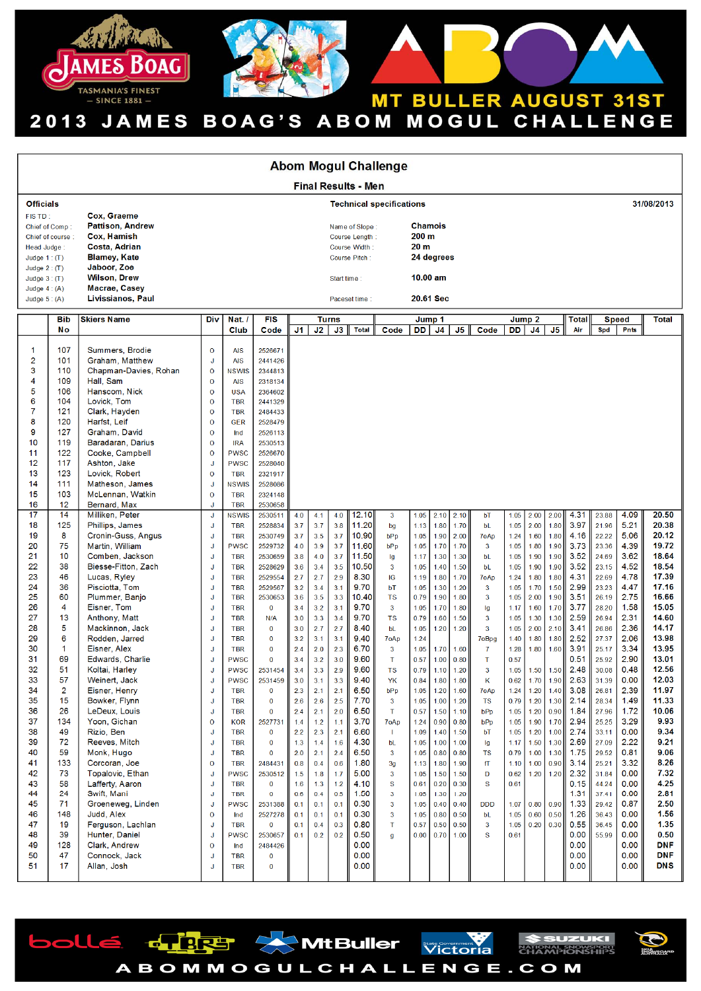

| <b>Abom Mogul Challenge</b>                                                                                                                                                                                                         |                                                                                                                                                                                                                                                               |                                                                                                                                                                                                                                                                                                                                                                                                                                                                                                                                                                                                                                                                                         |                                                                                                                                                                                                                                                                                                                 |                                                                                                                                                                                                                                                                                                                                                                                                                                                                                                                                         |                                                                                                                                                                                                                                                                                                                                                                                                                  |                                                                                                                                                 |                                                                                                                                                 |                                                                                                                                                 |                                                                                                                                                                             |                                                                                                                                                                                                             |                                                                                                                                                                      |                                                                                                                                                              |                                                                                                                                                              |                                                                                                                                                |                                                                                                                                                                      |                                                                                                                                                              |                                                                                                                                                              |                                                                                                                                                                      |                                                                                                                                                                                           |                                                                                                                                                                      |                                                                                                                                                                                          |  |
|-------------------------------------------------------------------------------------------------------------------------------------------------------------------------------------------------------------------------------------|---------------------------------------------------------------------------------------------------------------------------------------------------------------------------------------------------------------------------------------------------------------|-----------------------------------------------------------------------------------------------------------------------------------------------------------------------------------------------------------------------------------------------------------------------------------------------------------------------------------------------------------------------------------------------------------------------------------------------------------------------------------------------------------------------------------------------------------------------------------------------------------------------------------------------------------------------------------------|-----------------------------------------------------------------------------------------------------------------------------------------------------------------------------------------------------------------------------------------------------------------------------------------------------------------|-----------------------------------------------------------------------------------------------------------------------------------------------------------------------------------------------------------------------------------------------------------------------------------------------------------------------------------------------------------------------------------------------------------------------------------------------------------------------------------------------------------------------------------------|------------------------------------------------------------------------------------------------------------------------------------------------------------------------------------------------------------------------------------------------------------------------------------------------------------------------------------------------------------------------------------------------------------------|-------------------------------------------------------------------------------------------------------------------------------------------------|-------------------------------------------------------------------------------------------------------------------------------------------------|-------------------------------------------------------------------------------------------------------------------------------------------------|-----------------------------------------------------------------------------------------------------------------------------------------------------------------------------|-------------------------------------------------------------------------------------------------------------------------------------------------------------------------------------------------------------|----------------------------------------------------------------------------------------------------------------------------------------------------------------------|--------------------------------------------------------------------------------------------------------------------------------------------------------------|--------------------------------------------------------------------------------------------------------------------------------------------------------------|------------------------------------------------------------------------------------------------------------------------------------------------|----------------------------------------------------------------------------------------------------------------------------------------------------------------------|--------------------------------------------------------------------------------------------------------------------------------------------------------------|--------------------------------------------------------------------------------------------------------------------------------------------------------------|----------------------------------------------------------------------------------------------------------------------------------------------------------------------|-------------------------------------------------------------------------------------------------------------------------------------------------------------------------------------------|----------------------------------------------------------------------------------------------------------------------------------------------------------------------|------------------------------------------------------------------------------------------------------------------------------------------------------------------------------------------|--|
| <b>Final Results - Men</b>                                                                                                                                                                                                          |                                                                                                                                                                                                                                                               |                                                                                                                                                                                                                                                                                                                                                                                                                                                                                                                                                                                                                                                                                         |                                                                                                                                                                                                                                                                                                                 |                                                                                                                                                                                                                                                                                                                                                                                                                                                                                                                                         |                                                                                                                                                                                                                                                                                                                                                                                                                  |                                                                                                                                                 |                                                                                                                                                 |                                                                                                                                                 |                                                                                                                                                                             |                                                                                                                                                                                                             |                                                                                                                                                                      |                                                                                                                                                              |                                                                                                                                                              |                                                                                                                                                |                                                                                                                                                                      |                                                                                                                                                              |                                                                                                                                                              |                                                                                                                                                                      |                                                                                                                                                                                           |                                                                                                                                                                      |                                                                                                                                                                                          |  |
| <b>Officials</b>                                                                                                                                                                                                                    |                                                                                                                                                                                                                                                               |                                                                                                                                                                                                                                                                                                                                                                                                                                                                                                                                                                                                                                                                                         | <b>Technical specifications</b>                                                                                                                                                                                                                                                                                 |                                                                                                                                                                                                                                                                                                                                                                                                                                                                                                                                         |                                                                                                                                                                                                                                                                                                                                                                                                                  |                                                                                                                                                 |                                                                                                                                                 |                                                                                                                                                 |                                                                                                                                                                             |                                                                                                                                                                                                             |                                                                                                                                                                      |                                                                                                                                                              |                                                                                                                                                              |                                                                                                                                                |                                                                                                                                                                      |                                                                                                                                                              | 31/08/2013                                                                                                                                                   |                                                                                                                                                                      |                                                                                                                                                                                           |                                                                                                                                                                      |                                                                                                                                                                                          |  |
| FISTD:<br>Chief of Comp:<br>Chief of course:<br>Head Judge:<br>Judge $1:$ (T)<br>Judge $2:$ (T)                                                                                                                                     |                                                                                                                                                                                                                                                               | Cox, Graeme<br><b>Pattison, Andrew</b><br>Cox, Hamish<br><b>Costa, Adrian</b><br><b>Blamey, Kate</b><br>Jaboor, Zoe                                                                                                                                                                                                                                                                                                                                                                                                                                                                                                                                                                     |                                                                                                                                                                                                                                                                                                                 |                                                                                                                                                                                                                                                                                                                                                                                                                                                                                                                                         |                                                                                                                                                                                                                                                                                                                                                                                                                  | <b>Chamois</b><br>Name of Slope:<br>200 <sub>m</sub><br>Course Length:<br>20 <sub>m</sub><br>Course Width:<br>24 degrees<br>Course Pitch:       |                                                                                                                                                 |                                                                                                                                                 |                                                                                                                                                                             |                                                                                                                                                                                                             |                                                                                                                                                                      |                                                                                                                                                              |                                                                                                                                                              |                                                                                                                                                |                                                                                                                                                                      |                                                                                                                                                              |                                                                                                                                                              |                                                                                                                                                                      |                                                                                                                                                                                           |                                                                                                                                                                      |                                                                                                                                                                                          |  |
| Judge $3:$ (T)<br>Judge $4:(A)$                                                                                                                                                                                                     |                                                                                                                                                                                                                                                               | <b>Wilson, Drew</b><br>Macrae, Casey                                                                                                                                                                                                                                                                                                                                                                                                                                                                                                                                                                                                                                                    |                                                                                                                                                                                                                                                                                                                 |                                                                                                                                                                                                                                                                                                                                                                                                                                                                                                                                         |                                                                                                                                                                                                                                                                                                                                                                                                                  | $10.00$ am<br>Start time                                                                                                                        |                                                                                                                                                 |                                                                                                                                                 |                                                                                                                                                                             |                                                                                                                                                                                                             |                                                                                                                                                                      |                                                                                                                                                              |                                                                                                                                                              |                                                                                                                                                |                                                                                                                                                                      |                                                                                                                                                              |                                                                                                                                                              |                                                                                                                                                                      |                                                                                                                                                                                           |                                                                                                                                                                      |                                                                                                                                                                                          |  |
| Judge $5: (A)$                                                                                                                                                                                                                      |                                                                                                                                                                                                                                                               | Livissianos, Paul                                                                                                                                                                                                                                                                                                                                                                                                                                                                                                                                                                                                                                                                       |                                                                                                                                                                                                                                                                                                                 |                                                                                                                                                                                                                                                                                                                                                                                                                                                                                                                                         | Paceset time:                                                                                                                                                                                                                                                                                                                                                                                                    |                                                                                                                                                 |                                                                                                                                                 |                                                                                                                                                 |                                                                                                                                                                             |                                                                                                                                                                                                             | 20.61 Sec                                                                                                                                                            |                                                                                                                                                              |                                                                                                                                                              |                                                                                                                                                |                                                                                                                                                                      |                                                                                                                                                              |                                                                                                                                                              |                                                                                                                                                                      |                                                                                                                                                                                           |                                                                                                                                                                      |                                                                                                                                                                                          |  |
|                                                                                                                                                                                                                                     | <b>Bib</b><br>No                                                                                                                                                                                                                                              | <b>Skiers Name</b>                                                                                                                                                                                                                                                                                                                                                                                                                                                                                                                                                                                                                                                                      | Div                                                                                                                                                                                                                                                                                                             | Nat. /<br>Club                                                                                                                                                                                                                                                                                                                                                                                                                                                                                                                          | <b>FIS</b><br>Code                                                                                                                                                                                                                                                                                                                                                                                               | J1                                                                                                                                              | J2                                                                                                                                              | <b>Turns</b><br>J3                                                                                                                              | <b>Total</b>                                                                                                                                                                | Code                                                                                                                                                                                                        | DD                                                                                                                                                                   | Jump 1<br>J4                                                                                                                                                 | J <sub>5</sub>                                                                                                                                               | Code                                                                                                                                           | DD                                                                                                                                                                   | Jump <sub>2</sub><br>J4                                                                                                                                      | J5                                                                                                                                                           | <b>Total</b><br>Air                                                                                                                                                  | Spd                                                                                                                                                                                       | <b>Speed</b><br><b>Pnts</b>                                                                                                                                          | <b>Total</b>                                                                                                                                                                             |  |
| 1<br>$\overline{c}$<br>3<br>4<br>5<br>6<br>7<br>8<br>9<br>10<br>11<br>$12 \,$<br>13<br>14<br>15<br>16<br>17<br>18<br>19<br>20<br>21<br>22<br>23<br>24<br>25<br>26<br>27<br>28<br>29<br>30<br>31<br>32<br>33<br>34<br>35<br>36<br>37 | 107<br>101<br>110<br>109<br>106<br>104<br>121<br>120<br>127<br>119<br>122<br>117<br>123<br>111<br>103<br>12<br>14<br>125<br>8<br>75<br>10<br>38<br>46<br>36<br>60<br>4<br>13<br>5<br>6<br>$\mathbf{1}$<br>69<br>51<br>57<br>$\overline{2}$<br>15<br>26<br>134 | Summers, Brodie<br>Graham, Matthew<br>Chapman-Davies, Rohan<br>Hall, Sam<br>Hanscom, Nick<br>Lovick, Tom<br>Clark, Hayden<br>Harfst, Leif<br>Graham, David<br>Baradaran, Darius<br>Cooke, Campbell<br>Ashton, Jake<br>Lovick, Robert<br>Matheson, James<br>McLennan, Watkin<br>Bernard, Max<br>Milliken, Peter<br>Phillips, James<br>Cronin-Guss, Angus<br>Martin, William<br>Comben, Jackson<br>Biesse-Fitton, Zach<br>Lucas, Ryley<br>Pisciotta, Tom<br>Plummer, Banjo<br>Eisner, Tom<br>Anthony, Matt<br>Mackinnon, Jack<br>Rodden, Jarred<br>Eisner, Alex<br>Edwards, Charlie<br>Koltai, Harley<br>Weinert, Jack<br>Eisner, Henry<br>Bowker, Flynn<br>LeDeux, Louis<br>Yoon, Gichan | $\mathbf 0$<br>J<br>$\mathbf 0$<br>$\mathbf 0$<br>$\mathbf 0$<br>$\mathbf 0$<br>$\mathbf{o}$<br>$\circ$<br>$\mathbf 0$<br>$\mathbf 0$<br>$\mathbf 0$<br>J<br>$\mathbf 0$<br>J<br>$\mathbf 0$<br>J<br>J<br>J<br>J<br>J<br>J<br>J<br>J<br>J<br>J<br>J<br>J<br>J<br>J<br>J<br>J<br>J<br>J<br>J<br>J<br>$\mathbf 0$ | <b>AIS</b><br><b>AIS</b><br><b>NSWIS</b><br><b>AIS</b><br><b>USA</b><br><b>TBR</b><br><b>TBR</b><br><b>GER</b><br>Ind<br><b>IRA</b><br><b>PWSC</b><br><b>PWSC</b><br><b>TBR</b><br><b>NSWIS</b><br><b>TBR</b><br><b>TBR</b><br><b>NSWIS</b><br><b>TBR</b><br><b>TBR</b><br><b>PWSC</b><br><b>TBR</b><br><b>TBR</b><br><b>TBR</b><br><b>TBR</b><br><b>TBR</b><br><b>TBR</b><br><b>TBR</b><br><b>TBR</b><br><b>TBR</b><br><b>TBR</b><br><b>PWSC</b><br><b>PWSC</b><br><b>PWSC</b><br><b>TBR</b><br><b>TBR</b><br><b>TBR</b><br><b>KOR</b> | 2526671<br>2441426<br>2344813<br>2318134<br>2364602<br>2441329<br>2484433<br>2528479<br>2526113<br>2530513<br>2526670<br>2528040<br>2321917<br>2528086<br>2324148<br>2530658<br>2530511<br>2528834<br>2530749<br>2529732<br>2530659<br>2528629<br>2529554<br>2529567<br>2530653<br>$\bf{0}$<br>N/A<br>$\bf{0}$<br>$\bf{0}$<br>$\bf{0}$<br>$\bf{0}$<br>2531454<br>2531459<br>$\bf{0}$<br>$\bf{0}$<br>0<br>2527731 | 4.0<br>3.7<br>3.7<br>4.0<br>3.8<br>3.6<br>2.7<br>3.2<br>3.6<br>3.4<br>3.0<br>3.0<br>3.2<br>2.4<br>3.4<br>3.4<br>3.0<br>2.3<br>2.6<br>2.4<br>1.4 | 4.1<br>3.7<br>3.5<br>3.9<br>4.0<br>3.4<br>2.7<br>3.4<br>3.5<br>3.2<br>3.3<br>2.7<br>3.1<br>2.0<br>3.2<br>3.3<br>3.1<br>2.1<br>2.6<br>2.1<br>1.2 | 4.0<br>3.8<br>3.7<br>3.7<br>3.7<br>3.5<br>2.9<br>3.1<br>3.3<br>3.1<br>3.4<br>2.7<br>3.1<br>2.3<br>3.0<br>2.9<br>3.3<br>2.1<br>2.5<br>2.0<br>1.1 | 12.10<br>11.20<br>10.90<br>11.60<br>11.50<br>10.50<br>8.30<br>9.70<br>10.40<br>9.70<br>9.70<br>8.40<br>9.40<br>6.70<br>9.60<br>9.60<br>9.40<br>6.50<br>7.70<br>6.50<br>3.70 | $\overline{3}$<br>bg<br>bPp<br>bPp<br>lg<br>$\mathbf{3}$<br>IG<br>bT<br><b>TS</b><br>$\overline{3}$<br><b>TS</b><br>bL<br>7oAp<br>$\mathbf{3}$<br>т<br><b>TS</b><br>YK<br>bPp<br>$\mathbf{3}$<br>T.<br>7oAp | 1.05<br>1.13<br>1.05<br>1.05<br>1.17<br>1.05<br>1.19<br>1.05<br>0.79<br>1.05<br>0.79<br>1.05<br>1.24<br>1.05<br>0.57<br>0.79<br>0.84<br>1.05<br>1.05<br>0.57<br>1.24 | 2.10<br>1.80<br>1.90<br>1.70<br>1.30<br>1.40<br>1.80<br>1.30<br>1.90<br>1.70<br>1.60<br>1.20<br>1.70<br>1.00<br>1.10<br>1.80<br>1.20<br>1.00<br>1.50<br>0.90 | 2.10<br>1.70<br>2.00<br>1.70<br>1.30<br>1.50<br>1.70<br>1.20<br>1.80<br>1.80<br>1.50<br>1.20<br>1.60<br>0.80<br>1.20<br>1.80<br>1.60<br>1.20<br>1.10<br>0.80 | bT<br>bL<br>7oAp<br>3<br>bL<br>bL<br>7oAp<br>3<br>3<br>Ig<br>3<br>3<br>7oBpg<br>$\mathbf{7}$<br>т<br>3<br>K<br>7oAp<br><b>TS</b><br>bPp<br>bPp | 1.05<br>1.05<br>1.24<br>1.05<br>1.05<br>1.05<br>1.24<br>1.05<br>1.05<br>1.17<br>1.05<br>1.05<br>1.40<br>1.28<br>0.57<br>1.05<br>0.62<br>1.24<br>0.79<br>1.05<br>1.05 | 2.00<br>2.00<br>1.60<br>1.80<br>1.90<br>1.90<br>1.80<br>1.70<br>2.00<br>1.60<br>1.30<br>2.00<br>1.80<br>1.80<br>1.50<br>1.70<br>1.20<br>1.20<br>1.20<br>1.90 | 2.00<br>1.80<br>1.80<br>1.90<br>1.90<br>1.90<br>1.80<br>1.50<br>1.90<br>1.70<br>1.30<br>2.10<br>1.80<br>1.60<br>1.50<br>1.90<br>1.40<br>1.30<br>0.90<br>1.70 | 4.31<br>3.97<br>4.16<br>3.73<br>3.52<br>3.52<br>4.31<br>2.99<br>3.51<br>3.77<br>2.59<br>3.41<br>2.52<br>3.91<br>0.51<br>2.48<br>2.63<br>3.08<br>2.14<br>1.84<br>2.94 | 23.88<br>21.96<br>22.22<br>23.36<br>24.69<br>23.15<br>22.69<br>23.23<br>26.19<br>28.20<br>26.94<br>26.86<br>27.37<br>25.17<br>25.92<br>30.08<br>31.39<br>26.81<br>28.34<br>27.96<br>25.25 | 4.09<br>5.21<br>5.06<br>4.39<br>3.62<br>4.52<br>4.78<br>4.47<br>2.75<br>1.58<br>2.31<br>2.36<br>2.06<br>3.34<br>2.90<br>0.48<br>0.00<br>2.39<br>1.49<br>1.72<br>3.29 | 20.50<br>20.38<br>20.12<br>19.72<br>18.64<br>18.54<br>17.39<br>17.16<br>16.66<br>15.05<br>14.60<br>14.17<br>13.98<br>13.95<br>13.01<br>12.56<br>12.03<br>11.97<br>11.33<br>10.06<br>9.93 |  |
| 38<br>39<br>40<br>41<br>42<br>43<br>44<br>45<br>46<br>47<br>48<br>49<br>50<br>51                                                                                                                                                    | 49<br>72<br>59<br>133<br>73<br>58<br>24<br>71<br>148<br>19<br>39<br>128<br>47<br>17                                                                                                                                                                           | Rizio, Ben<br>Reeves, Mitch<br>Monk, Hugo<br>Corcoran, Joe<br>Topalovic, Ethan<br>Lafferty, Aaron<br>Swift, Mani<br>Groeneweg, Linden<br>Judd, Alex<br>Ferguson, Lachlan<br>Hunter, Daniel<br>Clark, Andrew<br>Connock, Jack<br>Allan, Josh                                                                                                                                                                                                                                                                                                                                                                                                                                             | IJ<br>J<br>J<br>$\mathbf 0$<br>J<br>J<br>J<br>J<br>$\mathbf{o}$<br>J<br>J<br>$\mathbf 0$<br>J<br>J                                                                                                                                                                                                              | <b>TBR</b><br><b>TBR</b><br><b>TBR</b><br><b>TBR</b><br><b>PWSC</b><br><b>TBR</b><br><b>TBR</b><br><b>PWSC</b><br>Ind<br><b>TBR</b><br><b>PWSC</b><br>Ind<br><b>TBR</b><br><b>TBR</b>                                                                                                                                                                                                                                                                                                                                                   | $\bf{0}$<br>$\mathbf 0$<br>$\mathbf 0$<br>2484431<br>2530512<br>$\bf{0}$<br>$\mathbf 0$<br>2531388<br>2527278<br>$\bf{0}$<br>2530657<br>2484426<br>$\bf{0}$<br>$\mathbf 0$                                                                                                                                                                                                                                       | 2.2<br>1.3<br>2.0<br>0.8<br>1.5<br>1.6<br>0.6<br>0.1<br>0.1<br>0.1<br>0.1                                                                       | 2.3<br>1.4<br>2.1<br>0.4<br>1.8<br>1.3<br>0.4<br>0.1<br>0.1<br>0.4<br>0.2                                                                       | 2.1<br>1.6<br>2.4<br>0.6<br>1.7<br>1.2<br>0.5<br>0.1<br>0.1<br>0.3<br>0.2                                                                       | 6.60<br>4.30<br>6.50<br>1.80<br>5.00<br>4.10<br>1.50<br>0.30<br>0.30<br>0.80<br>0.50<br>0.00 <br>0.00<br>0.00                                                               | $\mathbf{L}$<br>bL<br>$\overline{\mathbf{3}}$<br>3g<br>$\mathbf{3}$<br>S<br>3<br>3<br>3<br>T.<br>$\mathbf{q}$                                                                                               | 1.09<br>1.05<br>1.05<br>1.13<br>1.05<br>0.61<br>1.05<br>1.05<br>1.05<br>0.57<br>0.00                                                                                 | 1.40<br>1.00<br>0.80<br>1.80<br>1.50<br>0.20<br>1.30<br>0.40<br>0.80<br>0.50<br>0.70                                                                         | 1.50<br>1.00<br>0.80<br>1.90<br>1.50<br>0.30<br>1.20<br>0.40<br>0.50<br>0.50<br>1.00                                                                         | bT<br>Ig<br><b>TS</b><br>fT<br>D<br>S<br><b>DDD</b><br>bL<br>$\mathbf{3}$<br>S                                                                 | 1.05<br>1.17<br>0.79<br>1.10<br>0.62<br>0.61<br>1.07<br>1.05<br>1.05<br>0.61                                                                                         | 1.20<br>1.50<br>1.00<br>1.00<br>1.20<br>0.60                                                                                                                 | 1.00<br>1.30<br>1.30<br>0.90<br>1.20<br>0.80 0.90<br>0.50<br>0.20 0.30                                                                                       | 2.74<br>2.69<br>1.75<br>3.14<br>2.32<br>0.15<br>1.31<br>1.33<br>1.26<br>0.55<br>0.00<br>0.00<br>0.00<br>0.00                                                         | 33.11<br>27.09<br>29.52<br>25.21<br>31.84<br>44.24<br>37.41<br>29.42<br>36.43<br>36.45<br>55.99                                                                                           | 0.00<br>2.22<br>0.81<br>3.32<br>0.00<br>0.00<br>0.00<br>0.87<br>0.00<br>0.00<br>0.00<br>0.00<br>0.00<br>0.00                                                         | 9.34<br>9.21<br>9.06<br>8.26<br>7.32<br>4.25<br>2.81<br>2.50<br>1.56<br>1.35<br>0.50<br><b>DNF</b><br><b>DNF</b><br><b>DNS</b>                                                           |  |







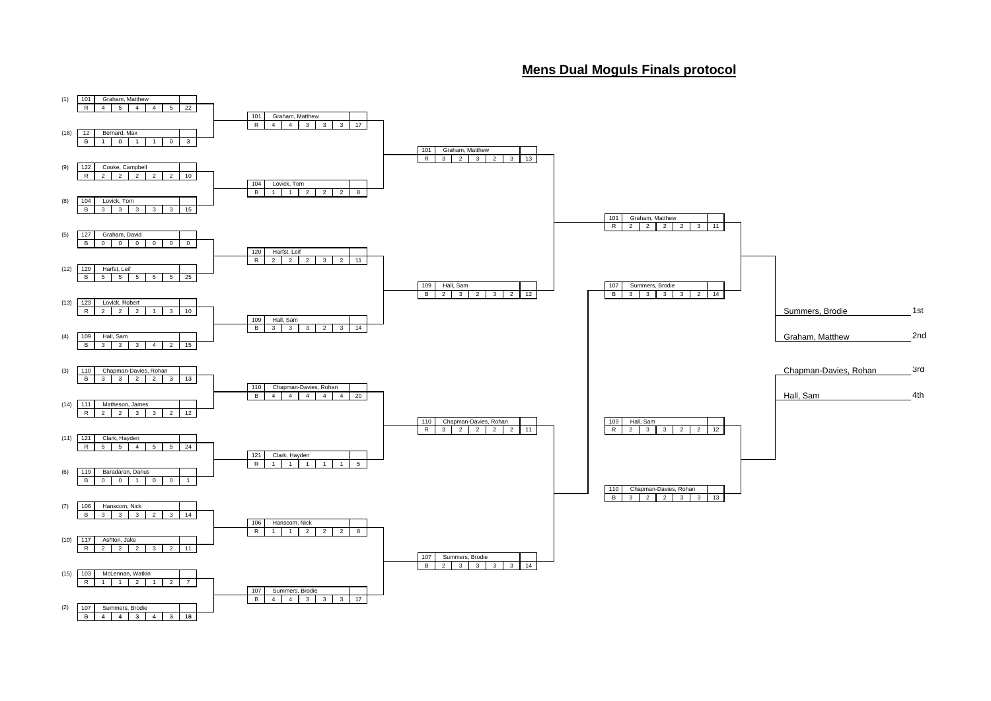## **Mens Dual Moguls Finals protocol**